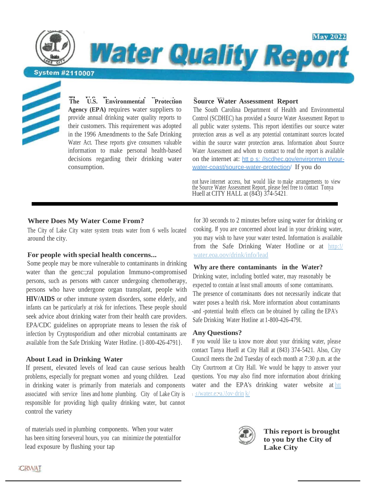**Water Quality Report** 

**System #2110007** 



**The U.S. Environmental Protection Agency (EPA)** requires water suppliers to provide annual drinking water quality reports to their customers. This requirement was adopted in the 1996 Amendments to the Safe Drinking Water Act. These reports give consumers valuable information to make personal health-based decisions regarding their drinking water consumption.

# **Source Water Assessment Report**

The South Carolina Department of Health and Environmental Control (SCDHEC) has provided a Source Water Assessment Report to all public water systems. This report identifies our source water protection areas as well as any potential contaminant sources located within the source water protection areas. Information about Source Water Assessment and whom to contact to read the report is available on the internet at: htt p s: //scdhec.gov/environmen t/vourwater-coast/source-water-protection/ If you do

**May 2022** 

not have internet access, but would like to make arrangements to view the Source Water Assessment Report, please feel free to contact Tonya Huell at CITY HALL at (843) 374-5421.

## **Where Does My Water Come From?**

The City of Lake City water system treats water from 6 wells located around the city.

#### **For people with special health concerns...**

Some people may be more vulnerable to contaminants in drinking water than the genc:;ral population Immuno-compromised persons, such as persons with cancer undergoing chemotherapy, persons who have undergone organ transplant, people with **HIV/AIDS** or other immune system disorders, some elderly, and infants can be particularly at risk for infections. These people should seek advice about drinking water from their health care providers. EPA/CDC guidelines on appropriate means to lessen the risk of infection by Cryptosporidium and other microbial contaminants are available from the Safe Drinking Water Hotline. (1-800-426-4791}.

#### **About Lead in Drinking Water**

If present, elevated levels of lead can cause serious health problems, especially for pregnant women and young children. Lead in drinking water is primarily from materials and components associated with service lines and home plumbing. City of Lake City is responsible for providing high quality drinking water, but cannot control the variety

of materials used in plumbing components. When your water has been sitting forseveral hours, you can minimize the potentialfor lead exposure by flushing your tap

for 30 seconds to 2 minutes before using water for drinking or cooking. If you are concerned about lead in your drinking water, you may wish to have your water tested. Information is available from the Safe Drinking Water Hotline or at http:!/ water.eoa.oov/drink/info/lead

#### **Why are there contaminants in the Water?**

Drinking water, including bottled water, may reasonably be expected to contain at least small amounts of some contaminants. The presence of contaminants does not necessarily indicate that water poses a health risk. More information about contaminants -and -potential health effects can be obtained by calling the EPA's Safe Drinking Water Hotline at 1-800-426-479l.

#### **Any Questions?**

If you would like ta know more about your drinking water, please contact Tanya Huell at City Hall at (843) 374-5421. Also, City Council meets the 2nd Tuesday of each month at 7:30 p.m. at the City Courtroom at City Hall. We would be happy to answer your questions. You *may* also find more information about drinking water and the EPA's drinking water website at htt <sup>1</sup> :I/water.e:•a.\!ov·drin k/



**This report is brought to you by the City of Lake City**

CRWAI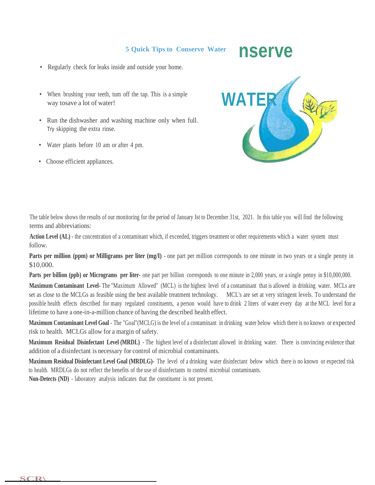## **5 Quick Tips to Conserve Water**

# **nserve**

- Regularly check for leaks inside and outside your home.
- When brushing your teeth, tum off the tap. This is a simple way tosave a lot of water!
- Run the dishwasher and washing machine only when full. Try skipping the extra rinse.
- Water plants before 10 am or after 4 pm.
- Choose efficient appliances.



The table below shows the results of our monitoring for the period of January Ist to December 31st, 2021. In this table you will find the following terms and abbreviations:

**Action Level (AL)** - the concentration of a contaminant which, if exceeded, triggers treatment or other requirements which a water system must follow.

**Parts per million (ppm) or Milligrams per liter (mg/I)** - one part per million corresponds to one minute in two years or a single penny in \$10,000.

**Parts per billion (ppb) or Micrograms per liter-** one part per billion corresponds to one minute in 2,000 years, or a single penny in \$10,000,000.

**Maximum Contaminant Level-** The "Maximum Allowed" (MCL) is the highest level of a contaminant that is allowed in drinking water. MCLs are set as close to the MCLGs as feasible using the best available treatment technology. MCL's are set at very stringent levels. To understand the possible health effects described for many regulated constituents, a person would have to drink 2 liters of water every day at the MCL level for a lifetime to have a one-in-a-million chance of having the described health effect.

**Maximum Contaminant Level Goal** - The "Goal"(MCLG) is the level of a contaminant in drinking water below which there is no known or expected risk to health. MCLGs allow for a margin of safety.

**Maximum Residual Disinfectant Level (MRDL)** - The highest level of a disinfectant allowed in drinking water. There is convincing evidence that addition of a disinfectant is necessary for control of microbial contaminants.

**Maximum Residual Disinfectant Level Goal (MRDLG)-** The level of a drinking water disinfectant below which there is no known or expected risk to health. MRDLGs do not reflect the benefits of the use of disinfectants to control microbial contaminants.

**Non-Detects (ND)** - laboratory analysis indicates that the constituent is not present.